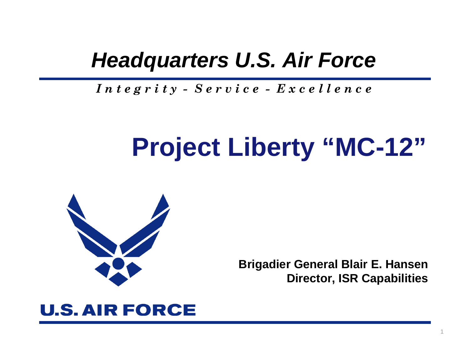## *Headquarters U.S. Air Force*

*I n t e g r i t y - S e r v i c e - E x c e l l e n c e*

# **Project Liberty "MC-12"**



**Brigadier General Blair E. Hansen Director, ISR Capabilities**

1

## **U.S. AIR FORCE**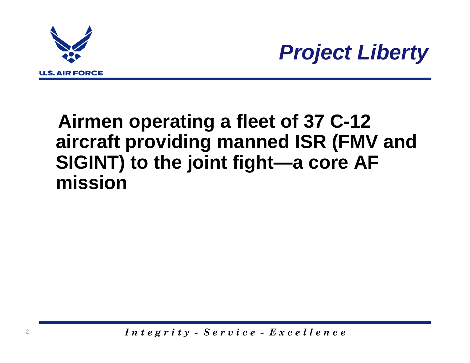



## **Airmen operating a fleet of 37 C-12 aircraft providing manned ISR (FMV and SIGINT) to the joint fight—a core AF mission**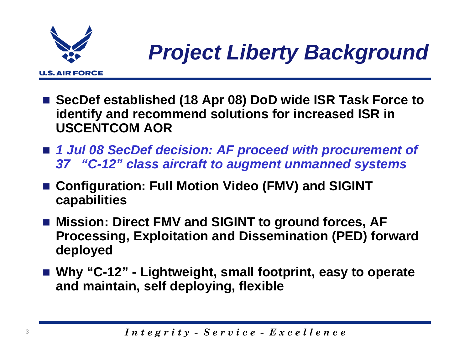

- SecDef established (18 Apr 08) DoD wide ISR Task Force to **identify and recommend solutions for increased ISR in USCENTCOM AOR**
- *1 Jul 08 SecDef decision: AF proceed with procurement of 37 "C-12" class aircraft to augment unmanned systems*
- Configuration: Full Motion Video (FMV) and SIGINT **capabilities**
- Mission: Direct FMV and SIGINT to ground forces, **AF Processing, Exploitation and Dissemination (PED) forward deployed**
- **Why "C-12" - Lightweight, small footprint, easy to operate and maintain, self deploying, flexible**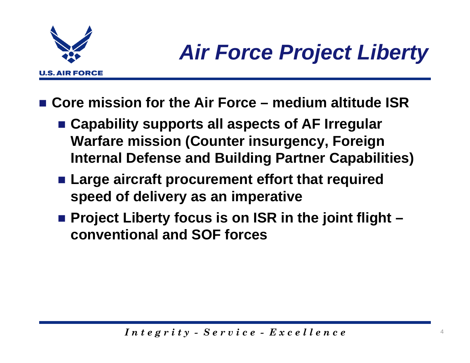

- Core mission for the Air Force medium altitude ISR
	- **Capability supports all aspects of AF Irregular Warfare mission (Counter insurgency, Foreign Internal Defense and Building Partner Capabilities)**
	- **Large aircraft procurement effort that required speed of delivery as an imperative**
	- Project Liberty focus is on ISR in the joint flight **conventional and SOF forces**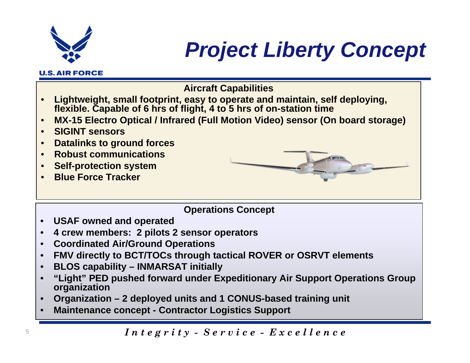

**U.S. AIR FORCE** 

## *Project Liberty Concept*

- **Aircraft Capabilities**
- • **Lightweight, small footprint, easy to operate and maintain, self deploying, flexible. Capable of 6 hrs of flight, 4 to 5 hrs of on-station time**
- •**MX-15 Electro Optical / Infrared (Full Motion Video) sensor (On board storage)**
- •**SIGINT sensors**
- •**Datalinks to ground forces**
- •**Robust communications**
- •**Self-protection system**
- •**Blue Force Tracker**



### **Operations Concept**

- •**USAF owned and operated**
- •**4 crew members: 2 pilots 2 sensor operators**
- •**Coordinated Air/Ground Operations**
- •**FMV directly to BCT/TOCs through tactical ROVER or OSRVT elements**
- •**BLOS capability – INMARSAT initially**
- • **"Light" PED pushed forward under Expeditionary Air Support Operations Group organization**
- •**Organization – 2 deployed units and 1 CONUS-based training unit**
- •**Maintenance concept - Contractor Logistics Support**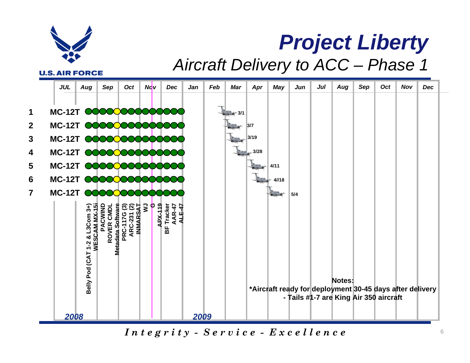

## *Project Liberty Aircraft Delivery to ACC – Phase 1*

**U.S. AIR FORCE** 



 $In the$   $g \,ri \,i \,y - S \,e \,rv \,i \,ce - E \,x \,ce \,el \,le \,n \,ce$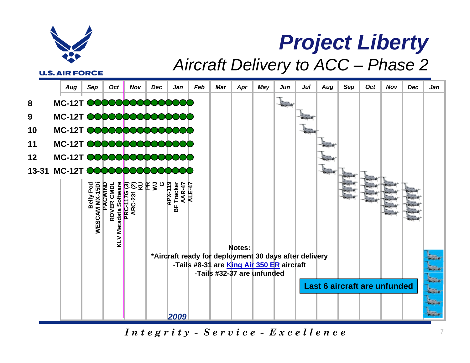

## *Project Liberty Aircraft Delivery to ACC – Phase 2*

**U.S. AIR FORCE** 

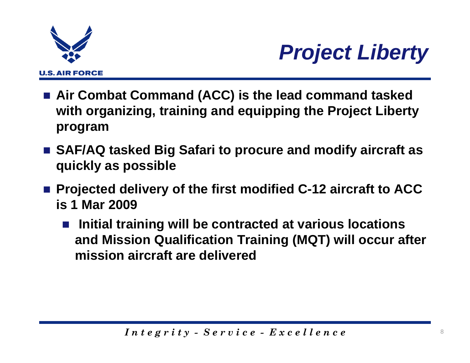



- **Air Combat Command (ACC) is the lead command tasked with organizing, training and equipping the Project Liberty program**
- SAF/AQ tasked Big Safari to procure and modify aircraft as **quickly as possible**
- Projected delivery of the first modified C-12 aircraft to ACC **is 1 Mar 2009**
	- $\mathcal{L}^{\text{max}}_{\text{max}}$  **Initial training will be contracted at various locations and Mission Qualification Training (MQT) will occur after mission aircraft are delivered**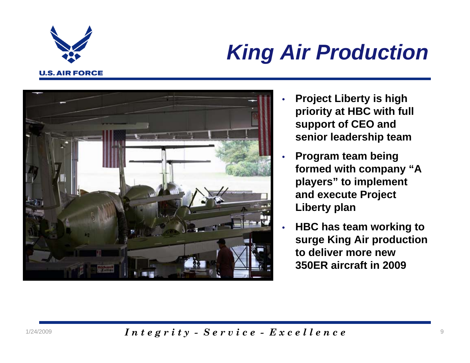

## *King Air Production*



- • **Project Liberty is high priority at HBC with full support of CEO and senior leadership team**
- • **Program team being formed with company "A players" to implement and execute Project Liberty plan**
- • **HBC has team working to surge King Air production to deliver more new 350ER aircraft in 2009**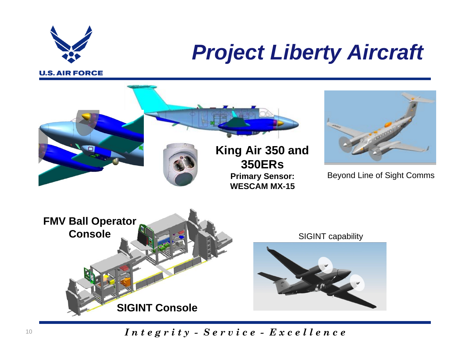

## *Project Liberty Aircraft*



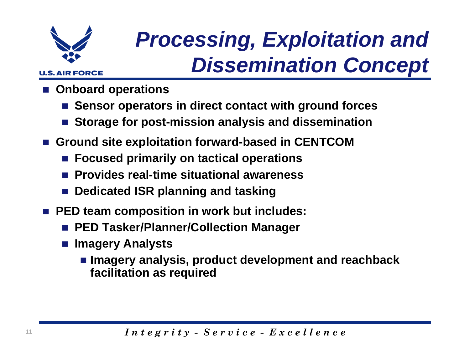

## *Processing, Exploitation and Dissemination Concept*

- **Onboard operations**
	- $\mathbb{R}^3$ **Sensor operators in direct contact with ground forces**
	- $\mathbb{R}^2$ **Storage for post-mission analysis and dissemination**
- **Ground site exploitation forward-based in CENTCOM**
	- $\mathbb{R}^3$ **Focused primarily on tactical operations**
	- **Provides real-time situational awareness**
	- **Dedicated ISR planning and tasking**
- **PED team composition in work but includes:** 
	- **PED Tasker/Planner/Collection Manager**
	- $\mathbb{R}^2$  **Imagery Analysts** 
		- **Imagery analysis, product development and reachback facilitation as required**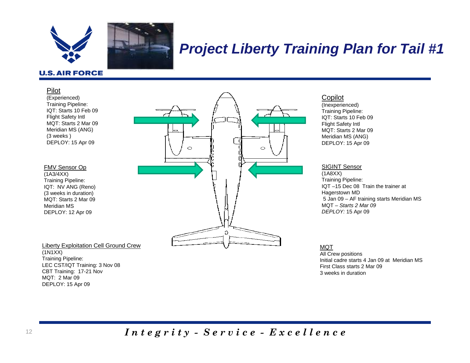

### *Project Liberty Training Plan for Tail #1*

### **U.S. AIR FORCE**

### Pilot

(Experienced) Training Pipeline: IQT: Starts 10 Feb 09 Flight Safety Intl MQT: Starts 2 Mar 09Meridian MS (ANG) (3 weeks ) DEPLOY: 15 Apr 09

### FMV Sensor Op

(1A3/4XX) Training Pipeline: IQT: NV ANG (Reno) (3 weeks in duration) MQT: Starts 2 Mar 09Meridian MS DEPLOY: 12 Apr 09

Liberty Exploitation Cell Ground Crew (1N1XX) Training Pipeline: LEC CST/IQT Training: 3 Nov 08 CBT Training: 17-21 Nov MQT: 2 Mar 09DEPLOY: 15 Apr 09



### Copilot

(Inexperienced) Training Pipeline: IQT: Starts 10 Feb 09Flight Safety Intl MQT: Starts 2 Mar 09Meridian MS (ANG) DEPLOY: 15 Apr 09

#### SIGINT Sensor

(1A8XX) Training Pipeline: IQT –15 Dec 08 Train the trainer at Hagerstown MD 5 Jan 09 – AF training starts Meridian MS MQT – *Starts 2 Mar 09 DEPLOY:* 15 Apr 09

### MQT

All Crew positions Initial cadre starts 4 Jan 09 at Meridian MSFirst Class starts 2 Mar 093 weeks in duration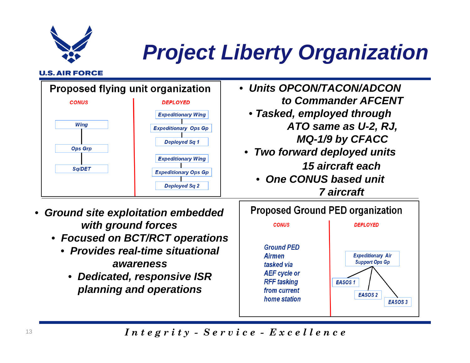*Project Liberty Organization* 

### **U.S. AIR FORCE**

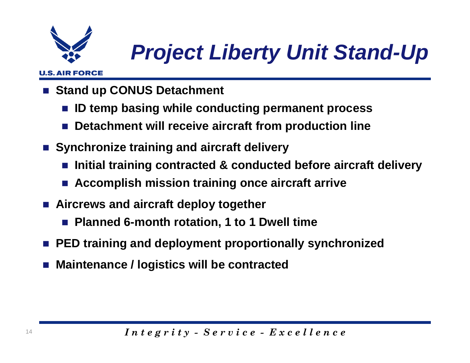

## *Project Liberty Unit Stand-Up*

### **U.S. AIR FORCE**

- <u>r </u> **Stand up CONUS Detachment** 
	- $\mathbb{R}^2$ **ID temp basing while conducting permanent process**
	- $\mathbb{R}^2$ **Detachment will receive aircraft from production line**
- Synchronize training and aircraft delivery
	- $\mathbb{R}^2$ **Initial training contracted & conducted before aircraft delivery**
	- $\mathbb{R}^2$ **Accomplish mission training once aircraft arrive**
- **Aircrews and aircraft deploy together**
	- $\mathbb{R}^3$ **Planned 6-month rotation, 1 to 1 Dwell time**
- **PED training and deployment proportionally synchronized**
- **Maintenance / logistics will be contracted**